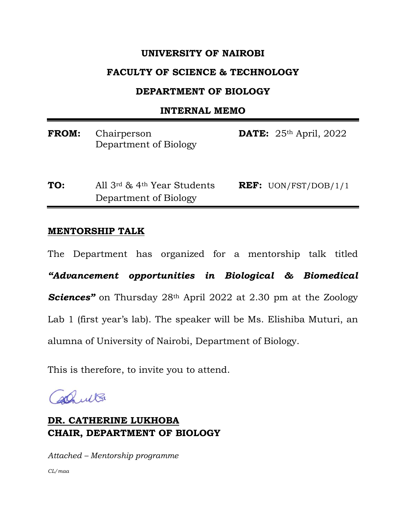### **UNIVERSITY OF NAIROBI**

### **FACULTY OF SCIENCE & TECHNOLOGY**

### **DEPARTMENT OF BIOLOGY**

#### **INTERNAL MEMO**

| <b>FROM:</b> Chairperson | <b>DATE:</b> $25th$ April, 2022 |  |
|--------------------------|---------------------------------|--|
| Department of Biology    |                                 |  |

**TO:** All 3rd & 4th Year Students **REF:** UON/FST/DOB/1/1 Department of Biology

#### **MENTORSHIP TALK**

The Department has organized for a mentorship talk titled *"Advancement opportunities in Biological & Biomedical Sciences"* on Thursday 28th April 2022 at 2.30 pm at the Zoology Lab 1 (first year's lab). The speaker will be Ms. Elishiba Muturi, an alumna of University of Nairobi, Department of Biology.

This is therefore, to invite you to attend.

Phult

## **DR. CATHERINE LUKHOBA CHAIR, DEPARTMENT OF BIOLOGY**

*Attached – Mentorship programme CL/maa*